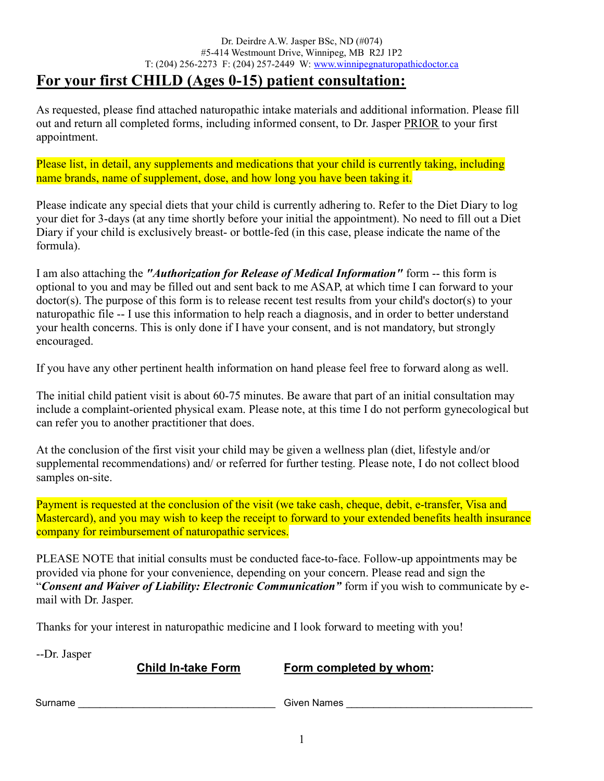## For your first CHILD (Ages 0-15) patient consultation:

As requested, please find attached naturopathic intake materials and additional information. Please fill out and return all completed forms, including informed consent, to Dr. Jasper PRIOR to your first appointment.

Please list, in detail, any supplements and medications that your child is currently taking, including name brands, name of supplement, dose, and how long you have been taking it.

Please indicate any special diets that your child is currently adhering to. Refer to the Diet Diary to log your diet for 3-days (at any time shortly before your initial the appointment). No need to fill out a Diet Diary if your child is exclusively breast- or bottle-fed (in this case, please indicate the name of the formula).

I am also attaching the "*Authorization for Release of Medical Information*" form -- this form is optional to you and may be filled out and sent back to me ASAP, at which time I can forward to your doctor(s). The purpose of this form is to release recent test results from your child's doctor(s) to your naturopathic file -- I use this information to help reach a diagnosis, and in order to better understand your health concerns. This is only done if I have your consent, and is not mandatory, but strongly encouraged.

If you have any other pertinent health information on hand please feel free to forward along as well.

The initial child patient visit is about 60-75 minutes. Be aware that part of an initial consultation may include a complaint-oriented physical exam. Please note, at this time I do not perform gynecological but can refer you to another practitioner that does.

At the conclusion of the first visit your child may be given a wellness plan (diet, lifestyle and/or supplemental recommendations) and/ or referred for further testing. Please note, I do not collect blood samples on-site.

Payment is requested at the conclusion of the visit (we take cash, cheque, debit, e-transfer, Visa and Mastercard), and you may wish to keep the receipt to forward to your extended benefits health insurance company for reimbursement of naturopathic services.

PLEASE NOTE that initial consults must be conducted face-to-face. Follow-up appointments may be provided via phone for your convenience, depending on your concern. Please read and sign the "Consent and Waiver of Liability: Electronic Communication" form if you wish to communicate by email with Dr. Jasper.

Thanks for your interest in naturopathic medicine and I look forward to meeting with you!

--Dr. Jasper

| <b>Child In-take Form</b> | Form |
|---------------------------|------|
|                           |      |

## completed by whom:

Surname \_\_\_\_\_\_\_\_\_\_\_\_\_\_\_\_\_\_\_\_\_\_\_\_\_\_\_\_\_\_\_\_\_\_\_\_ Given Names \_\_\_\_\_\_\_\_\_\_\_\_\_\_\_\_\_\_\_\_\_\_\_\_\_\_\_\_\_\_\_\_\_\_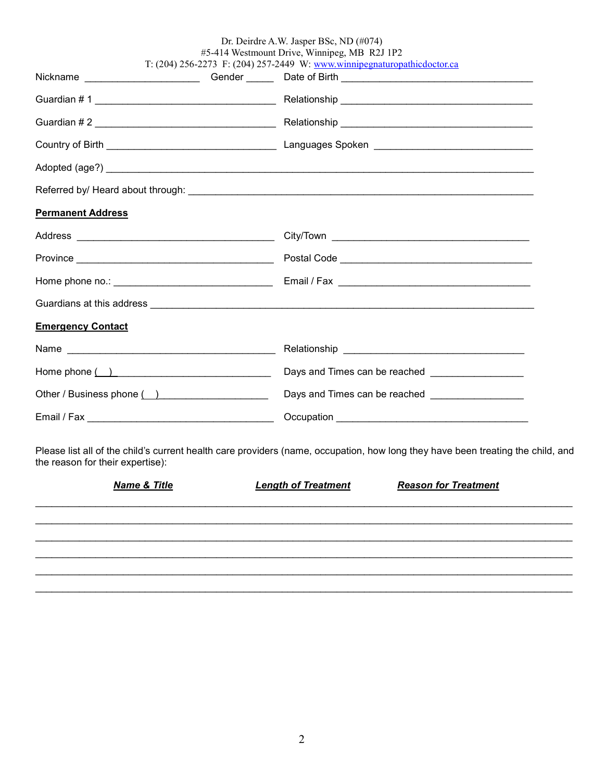|                                  | Dr. Deirdre A.W. Jasper BSc, ND (#074)<br>#5-414 Westmount Drive, Winnipeg, MB R2J 1P2                                          |
|----------------------------------|---------------------------------------------------------------------------------------------------------------------------------|
|                                  | T: (204) 256-2273 F: (204) 257-2449 W: www.winnipegnaturopathicdoctor.ca                                                        |
|                                  |                                                                                                                                 |
|                                  |                                                                                                                                 |
|                                  |                                                                                                                                 |
|                                  |                                                                                                                                 |
|                                  |                                                                                                                                 |
|                                  |                                                                                                                                 |
| <b>Permanent Address</b>         |                                                                                                                                 |
|                                  |                                                                                                                                 |
|                                  |                                                                                                                                 |
|                                  |                                                                                                                                 |
|                                  |                                                                                                                                 |
| <b>Emergency Contact</b>         |                                                                                                                                 |
|                                  |                                                                                                                                 |
| Home phone $($ $)$               |                                                                                                                                 |
| Other / Business phone ( )       | Days and Times can be reached ____________________                                                                              |
|                                  |                                                                                                                                 |
| the reason for their expertise): | Please list all of the child's current health care providers (name, occupation, how long they have been treating the child, and |
| <b>Name &amp; Title</b>          | <b>Length of Treatment</b><br><b>Reason for Treatment</b>                                                                       |
|                                  |                                                                                                                                 |
|                                  |                                                                                                                                 |
|                                  |                                                                                                                                 |
|                                  |                                                                                                                                 |
|                                  |                                                                                                                                 |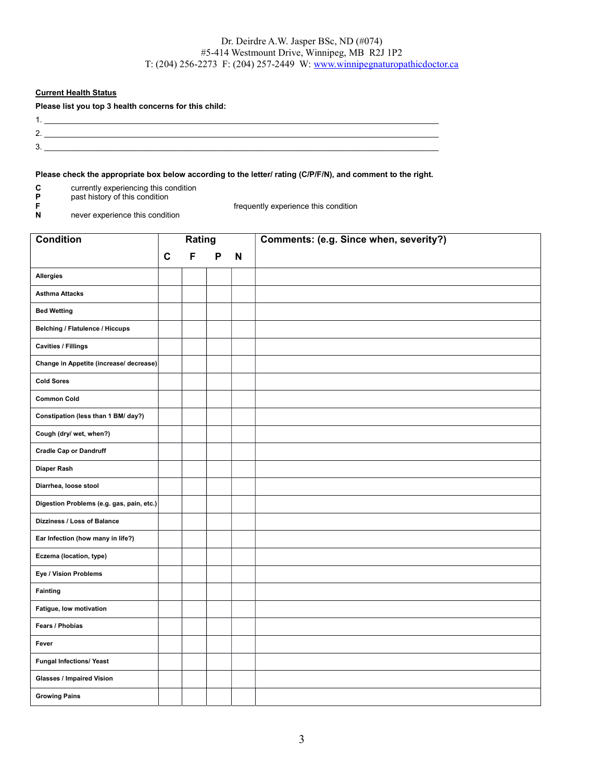#### Current Health Status

Please list you top 3 health concerns for this child:

1. \_\_\_\_\_\_\_\_\_\_\_\_\_\_\_\_\_\_\_\_\_\_\_\_\_\_\_\_\_\_\_\_\_\_\_\_\_\_\_\_\_\_\_\_\_\_\_\_\_\_\_\_\_\_\_\_\_\_\_\_\_\_\_\_\_\_\_\_\_\_\_\_\_\_\_\_\_\_\_\_\_\_\_\_\_\_\_\_\_\_ 2. \_\_\_\_\_\_\_\_\_\_\_\_\_\_\_\_\_\_\_\_\_\_\_\_\_\_\_\_\_\_\_\_\_\_\_\_\_\_\_\_\_\_\_\_\_\_\_\_\_\_\_\_\_\_\_\_\_\_\_\_\_\_\_\_\_\_\_\_\_\_\_\_\_\_\_\_\_\_\_\_\_\_\_\_\_\_\_\_\_\_ 3. \_\_\_\_\_\_\_\_\_\_\_\_\_\_\_\_\_\_\_\_\_\_\_\_\_\_\_\_\_\_\_\_\_\_\_\_\_\_\_\_\_\_\_\_\_\_\_\_\_\_\_\_\_\_\_\_\_\_\_\_\_\_\_\_\_\_\_\_\_\_\_\_\_\_\_\_\_\_\_\_\_\_\_\_\_\_\_\_\_\_

Please check the appropriate box below according to the letter/ rating (C/P/F/N), and comment to the right.

- **C** currently experiencing this condition C<br>
P currently experiencing this condition<br>
F<br>
The capacition<br>
The condition<br>
The condition<br>
The condition<br>
The condition<br>
The condition<br>
The condition<br>
The condition<br>
The condition<br>
The condition<br>
The condition<br>
The condi
- **P** past history of this condition

never experience this condition

| <b>Condition</b>                          |             | Rating |   |   | Comments: (e.g. Since when, severity?) |
|-------------------------------------------|-------------|--------|---|---|----------------------------------------|
|                                           | $\mathbf c$ | F      | P | N |                                        |
| <b>Allergies</b>                          |             |        |   |   |                                        |
| <b>Asthma Attacks</b>                     |             |        |   |   |                                        |
| <b>Bed Wetting</b>                        |             |        |   |   |                                        |
| <b>Belching / Flatulence / Hiccups</b>    |             |        |   |   |                                        |
| <b>Cavities / Fillings</b>                |             |        |   |   |                                        |
| Change in Appetite (increase/ decrease)   |             |        |   |   |                                        |
| <b>Cold Sores</b>                         |             |        |   |   |                                        |
| <b>Common Cold</b>                        |             |        |   |   |                                        |
| Constipation (less than 1 BM/ day?)       |             |        |   |   |                                        |
| Cough (dry/ wet, when?)                   |             |        |   |   |                                        |
| <b>Cradle Cap or Dandruff</b>             |             |        |   |   |                                        |
| Diaper Rash                               |             |        |   |   |                                        |
| Diarrhea, loose stool                     |             |        |   |   |                                        |
| Digestion Problems (e.g. gas, pain, etc.) |             |        |   |   |                                        |
| Dizziness / Loss of Balance               |             |        |   |   |                                        |
| Ear Infection (how many in life?)         |             |        |   |   |                                        |
| Eczema (location, type)                   |             |        |   |   |                                        |
| Eye / Vision Problems                     |             |        |   |   |                                        |
| <b>Fainting</b>                           |             |        |   |   |                                        |
| Fatigue, low motivation                   |             |        |   |   |                                        |
| Fears / Phobias                           |             |        |   |   |                                        |
| Fever                                     |             |        |   |   |                                        |
| <b>Fungal Infections/ Yeast</b>           |             |        |   |   |                                        |
| <b>Glasses / Impaired Vision</b>          |             |        |   |   |                                        |
| <b>Growing Pains</b>                      |             |        |   |   |                                        |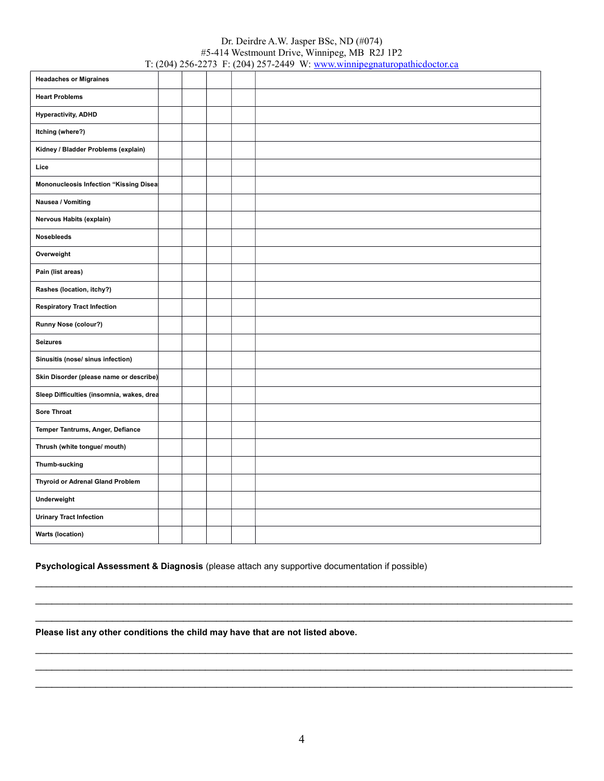| <b>Headaches or Migraines</b>             |  |  |  |
|-------------------------------------------|--|--|--|
| <b>Heart Problems</b>                     |  |  |  |
| <b>Hyperactivity, ADHD</b>                |  |  |  |
| Itching (where?)                          |  |  |  |
| Kidney / Bladder Problems (explain)       |  |  |  |
| Lice                                      |  |  |  |
| Mononucleosis Infection "Kissing Disea    |  |  |  |
| Nausea / Vomiting                         |  |  |  |
| Nervous Habits (explain)                  |  |  |  |
| <b>Nosebleeds</b>                         |  |  |  |
| Overweight                                |  |  |  |
| Pain (list areas)                         |  |  |  |
| Rashes (location, itchy?)                 |  |  |  |
| <b>Respiratory Tract Infection</b>        |  |  |  |
| Runny Nose (colour?)                      |  |  |  |
| <b>Seizures</b>                           |  |  |  |
| Sinusitis (nose/ sinus infection)         |  |  |  |
| Skin Disorder (please name or describe)   |  |  |  |
| Sleep Difficulties (insomnia, wakes, drea |  |  |  |
| <b>Sore Throat</b>                        |  |  |  |
| Temper Tantrums, Anger, Defiance          |  |  |  |
| Thrush (white tongue/ mouth)              |  |  |  |
| Thumb-sucking                             |  |  |  |
| <b>Thyroid or Adrenal Gland Problem</b>   |  |  |  |
| Underweight                               |  |  |  |
| <b>Urinary Tract Infection</b>            |  |  |  |
| <b>Warts (location)</b>                   |  |  |  |

#### Psychological Assessment & Diagnosis (please attach any supportive documentation if possible)

#### Please list any other conditions the child may have that are not listed above.

 $\mathcal{L}_\mathcal{L} = \mathcal{L}_\mathcal{L} = \mathcal{L}_\mathcal{L} = \mathcal{L}_\mathcal{L} = \mathcal{L}_\mathcal{L} = \mathcal{L}_\mathcal{L} = \mathcal{L}_\mathcal{L} = \mathcal{L}_\mathcal{L} = \mathcal{L}_\mathcal{L} = \mathcal{L}_\mathcal{L} = \mathcal{L}_\mathcal{L} = \mathcal{L}_\mathcal{L} = \mathcal{L}_\mathcal{L} = \mathcal{L}_\mathcal{L} = \mathcal{L}_\mathcal{L} = \mathcal{L}_\mathcal{L} = \mathcal{L}_\mathcal{L}$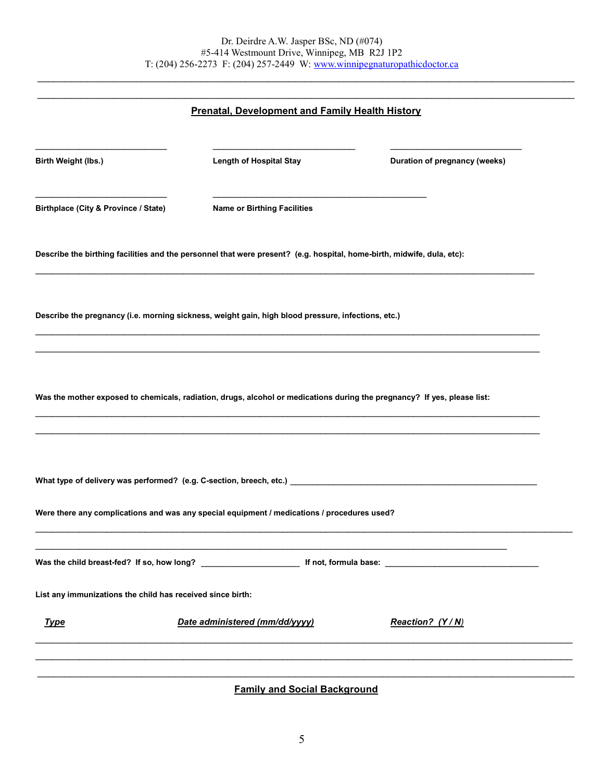$\mathcal{L}_\mathcal{L} = \mathcal{L}_\mathcal{L} = \mathcal{L}_\mathcal{L} = \mathcal{L}_\mathcal{L} = \mathcal{L}_\mathcal{L} = \mathcal{L}_\mathcal{L} = \mathcal{L}_\mathcal{L} = \mathcal{L}_\mathcal{L} = \mathcal{L}_\mathcal{L} = \mathcal{L}_\mathcal{L} = \mathcal{L}_\mathcal{L} = \mathcal{L}_\mathcal{L} = \mathcal{L}_\mathcal{L} = \mathcal{L}_\mathcal{L} = \mathcal{L}_\mathcal{L} = \mathcal{L}_\mathcal{L} = \mathcal{L}_\mathcal{L}$ 

|                                                            | <b>Prenatal, Development and Family Health History</b>                                                                   |                               |
|------------------------------------------------------------|--------------------------------------------------------------------------------------------------------------------------|-------------------------------|
| Birth Weight (lbs.)                                        | <b>Length of Hospital Stay</b>                                                                                           | Duration of pregnancy (weeks) |
| Birthplace (City & Province / State)                       | <b>Name or Birthing Facilities</b>                                                                                       |                               |
|                                                            | Describe the birthing facilities and the personnel that were present? (e.g. hospital, home-birth, midwife, dula, etc):   |                               |
|                                                            | Describe the pregnancy (i.e. morning sickness, weight gain, high blood pressure, infections, etc.)                       |                               |
|                                                            | Was the mother exposed to chemicals, radiation, drugs, alcohol or medications during the pregnancy? If yes, please list: |                               |
|                                                            | What type of delivery was performed? (e.g. C-section, breech, etc.) _______________________________                      |                               |
|                                                            | Were there any complications and was any special equipment / medications / procedures used?                              |                               |
|                                                            |                                                                                                                          |                               |
|                                                            |                                                                                                                          |                               |
| List any immunizations the child has received since birth: |                                                                                                                          |                               |

### Family and Social Background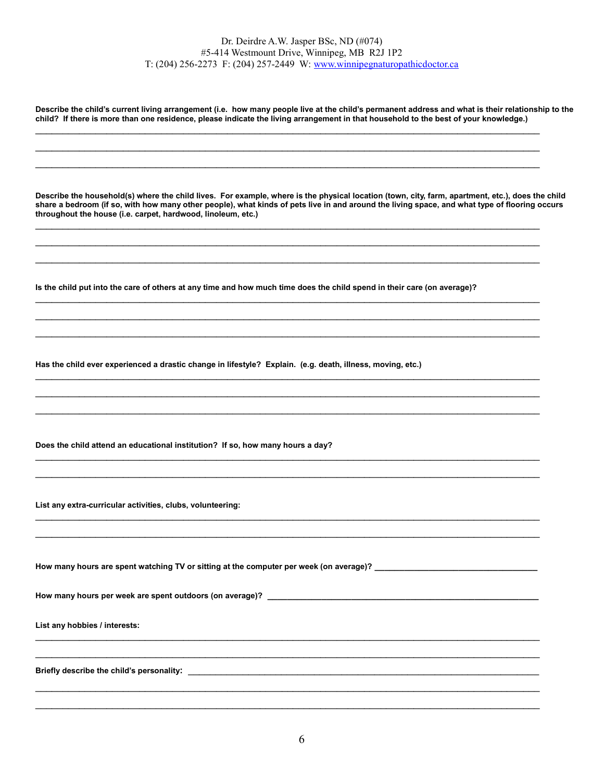Describe the child's current living arrangement (i.e. how many people live at the child's permanent address and what is their relationship to the child? If there is more than one residence, please indicate the living arrangement in that household to the best of your knowledge.)

 $\mathcal{L}_\mathcal{L} = \{ \mathcal{L}_\mathcal{L} = \{ \mathcal{L}_\mathcal{L} = \{ \mathcal{L}_\mathcal{L} = \{ \mathcal{L}_\mathcal{L} = \{ \mathcal{L}_\mathcal{L} = \{ \mathcal{L}_\mathcal{L} = \{ \mathcal{L}_\mathcal{L} = \{ \mathcal{L}_\mathcal{L} = \{ \mathcal{L}_\mathcal{L} = \{ \mathcal{L}_\mathcal{L} = \{ \mathcal{L}_\mathcal{L} = \{ \mathcal{L}_\mathcal{L} = \{ \mathcal{L}_\mathcal{L} = \{ \mathcal{L}_\mathcal{$  $\mathcal{L}_\mathcal{L} = \{ \mathcal{L}_\mathcal{L} = \{ \mathcal{L}_\mathcal{L} = \{ \mathcal{L}_\mathcal{L} = \{ \mathcal{L}_\mathcal{L} = \{ \mathcal{L}_\mathcal{L} = \{ \mathcal{L}_\mathcal{L} = \{ \mathcal{L}_\mathcal{L} = \{ \mathcal{L}_\mathcal{L} = \{ \mathcal{L}_\mathcal{L} = \{ \mathcal{L}_\mathcal{L} = \{ \mathcal{L}_\mathcal{L} = \{ \mathcal{L}_\mathcal{L} = \{ \mathcal{L}_\mathcal{L} = \{ \mathcal{L}_\mathcal{$ 

Describe the household(s) where the child lives. For example, where is the physical location (town, city, farm, apartment, etc.), does the child share a bedroom (if so, with how many other people), what kinds of pets live in and around the living space, and what type of flooring occurs throughout the house (i.e. carpet, hardwood, linoleum, etc.)

 $\mathcal{L}_\mathcal{L} = \mathcal{L}_\mathcal{L} = \mathcal{L}_\mathcal{L} = \mathcal{L}_\mathcal{L} = \mathcal{L}_\mathcal{L} = \mathcal{L}_\mathcal{L} = \mathcal{L}_\mathcal{L} = \mathcal{L}_\mathcal{L} = \mathcal{L}_\mathcal{L} = \mathcal{L}_\mathcal{L} = \mathcal{L}_\mathcal{L} = \mathcal{L}_\mathcal{L} = \mathcal{L}_\mathcal{L} = \mathcal{L}_\mathcal{L} = \mathcal{L}_\mathcal{L} = \mathcal{L}_\mathcal{L} = \mathcal{L}_\mathcal{L}$  $\mathcal{L}_\mathcal{L} = \mathcal{L}_\mathcal{L} = \mathcal{L}_\mathcal{L} = \mathcal{L}_\mathcal{L} = \mathcal{L}_\mathcal{L} = \mathcal{L}_\mathcal{L} = \mathcal{L}_\mathcal{L} = \mathcal{L}_\mathcal{L} = \mathcal{L}_\mathcal{L} = \mathcal{L}_\mathcal{L} = \mathcal{L}_\mathcal{L} = \mathcal{L}_\mathcal{L} = \mathcal{L}_\mathcal{L} = \mathcal{L}_\mathcal{L} = \mathcal{L}_\mathcal{L} = \mathcal{L}_\mathcal{L} = \mathcal{L}_\mathcal{L}$ 

Is the child put into the care of others at any time and how much time does the child spend in their care (on average)?

Has the child ever experienced a drastic change in lifestyle? Explain. (e.g. death, illness, moving, etc.)

Does the child attend an educational institution? If so, how many hours a day?

List any extra-curricular activities, clubs, volunteering:

How many hours are spent watching TV or sitting at the computer per week (on average)? \_\_\_\_\_\_\_\_\_\_\_\_\_\_\_\_\_\_\_\_\_\_\_

How many hours per week are spent outdoors (on average)? \_\_\_\_\_\_\_\_\_\_\_\_\_\_\_\_\_\_\_\_\_\_\_

List any hobbies / interests:

Briefly describe the child's personality: \_\_\_\_\_\_\_\_\_\_\_\_\_\_\_\_\_\_\_\_\_\_\_\_\_\_\_\_\_\_\_\_\_\_\_\_\_\_\_\_\_\_\_\_\_\_\_\_\_\_\_\_\_\_\_\_\_\_\_\_\_\_\_\_

 $\mathcal{L}_\mathcal{L} = \mathcal{L}_\mathcal{L} = \mathcal{L}_\mathcal{L} = \mathcal{L}_\mathcal{L} = \mathcal{L}_\mathcal{L} = \mathcal{L}_\mathcal{L} = \mathcal{L}_\mathcal{L} = \mathcal{L}_\mathcal{L} = \mathcal{L}_\mathcal{L} = \mathcal{L}_\mathcal{L} = \mathcal{L}_\mathcal{L} = \mathcal{L}_\mathcal{L} = \mathcal{L}_\mathcal{L} = \mathcal{L}_\mathcal{L} = \mathcal{L}_\mathcal{L} = \mathcal{L}_\mathcal{L} = \mathcal{L}_\mathcal{L}$  $\mathcal{L}_\mathcal{L} = \mathcal{L}_\mathcal{L} = \mathcal{L}_\mathcal{L} = \mathcal{L}_\mathcal{L} = \mathcal{L}_\mathcal{L} = \mathcal{L}_\mathcal{L} = \mathcal{L}_\mathcal{L} = \mathcal{L}_\mathcal{L} = \mathcal{L}_\mathcal{L} = \mathcal{L}_\mathcal{L} = \mathcal{L}_\mathcal{L} = \mathcal{L}_\mathcal{L} = \mathcal{L}_\mathcal{L} = \mathcal{L}_\mathcal{L} = \mathcal{L}_\mathcal{L} = \mathcal{L}_\mathcal{L} = \mathcal{L}_\mathcal{L}$ 

 $\mathcal{L}_\mathcal{L} = \mathcal{L}_\mathcal{L} = \mathcal{L}_\mathcal{L} = \mathcal{L}_\mathcal{L} = \mathcal{L}_\mathcal{L} = \mathcal{L}_\mathcal{L} = \mathcal{L}_\mathcal{L} = \mathcal{L}_\mathcal{L} = \mathcal{L}_\mathcal{L} = \mathcal{L}_\mathcal{L} = \mathcal{L}_\mathcal{L} = \mathcal{L}_\mathcal{L} = \mathcal{L}_\mathcal{L} = \mathcal{L}_\mathcal{L} = \mathcal{L}_\mathcal{L} = \mathcal{L}_\mathcal{L} = \mathcal{L}_\mathcal{L}$  $\mathcal{L}_\mathcal{L} = \mathcal{L}_\mathcal{L} = \mathcal{L}_\mathcal{L} = \mathcal{L}_\mathcal{L} = \mathcal{L}_\mathcal{L} = \mathcal{L}_\mathcal{L} = \mathcal{L}_\mathcal{L} = \mathcal{L}_\mathcal{L} = \mathcal{L}_\mathcal{L} = \mathcal{L}_\mathcal{L} = \mathcal{L}_\mathcal{L} = \mathcal{L}_\mathcal{L} = \mathcal{L}_\mathcal{L} = \mathcal{L}_\mathcal{L} = \mathcal{L}_\mathcal{L} = \mathcal{L}_\mathcal{L} = \mathcal{L}_\mathcal{L}$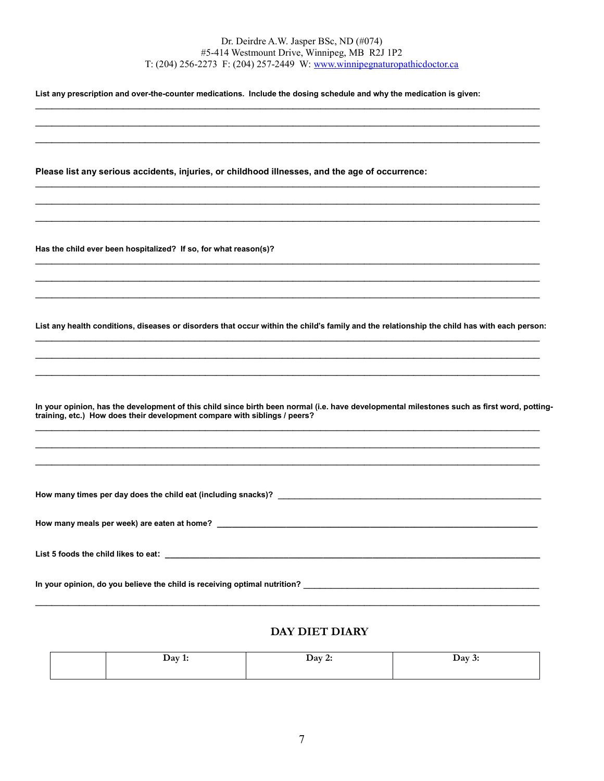$\mathcal{L}_\mathcal{L} = \mathcal{L}_\mathcal{L} = \mathcal{L}_\mathcal{L} = \mathcal{L}_\mathcal{L} = \mathcal{L}_\mathcal{L} = \mathcal{L}_\mathcal{L} = \mathcal{L}_\mathcal{L} = \mathcal{L}_\mathcal{L} = \mathcal{L}_\mathcal{L} = \mathcal{L}_\mathcal{L} = \mathcal{L}_\mathcal{L} = \mathcal{L}_\mathcal{L} = \mathcal{L}_\mathcal{L} = \mathcal{L}_\mathcal{L} = \mathcal{L}_\mathcal{L} = \mathcal{L}_\mathcal{L} = \mathcal{L}_\mathcal{L}$  $\mathcal{L}_\mathcal{L} = \mathcal{L}_\mathcal{L} = \mathcal{L}_\mathcal{L} = \mathcal{L}_\mathcal{L} = \mathcal{L}_\mathcal{L} = \mathcal{L}_\mathcal{L} = \mathcal{L}_\mathcal{L} = \mathcal{L}_\mathcal{L} = \mathcal{L}_\mathcal{L} = \mathcal{L}_\mathcal{L} = \mathcal{L}_\mathcal{L} = \mathcal{L}_\mathcal{L} = \mathcal{L}_\mathcal{L} = \mathcal{L}_\mathcal{L} = \mathcal{L}_\mathcal{L} = \mathcal{L}_\mathcal{L} = \mathcal{L}_\mathcal{L}$  $\mathcal{L}_\mathcal{L} = \{ \mathcal{L}_\mathcal{L} = \{ \mathcal{L}_\mathcal{L} = \{ \mathcal{L}_\mathcal{L} = \{ \mathcal{L}_\mathcal{L} = \{ \mathcal{L}_\mathcal{L} = \{ \mathcal{L}_\mathcal{L} = \{ \mathcal{L}_\mathcal{L} = \{ \mathcal{L}_\mathcal{L} = \{ \mathcal{L}_\mathcal{L} = \{ \mathcal{L}_\mathcal{L} = \{ \mathcal{L}_\mathcal{L} = \{ \mathcal{L}_\mathcal{L} = \{ \mathcal{L}_\mathcal{L} = \{ \mathcal{L}_\mathcal{$ 

 $\mathcal{L}_\mathcal{L} = \{ \mathcal{L}_\mathcal{L} = \{ \mathcal{L}_\mathcal{L} = \{ \mathcal{L}_\mathcal{L} = \{ \mathcal{L}_\mathcal{L} = \{ \mathcal{L}_\mathcal{L} = \{ \mathcal{L}_\mathcal{L} = \{ \mathcal{L}_\mathcal{L} = \{ \mathcal{L}_\mathcal{L} = \{ \mathcal{L}_\mathcal{L} = \{ \mathcal{L}_\mathcal{L} = \{ \mathcal{L}_\mathcal{L} = \{ \mathcal{L}_\mathcal{L} = \{ \mathcal{L}_\mathcal{L} = \{ \mathcal{L}_\mathcal{$  $\mathcal{L}_\mathcal{L} = \{ \mathcal{L}_\mathcal{L} = \{ \mathcal{L}_\mathcal{L} = \{ \mathcal{L}_\mathcal{L} = \{ \mathcal{L}_\mathcal{L} = \{ \mathcal{L}_\mathcal{L} = \{ \mathcal{L}_\mathcal{L} = \{ \mathcal{L}_\mathcal{L} = \{ \mathcal{L}_\mathcal{L} = \{ \mathcal{L}_\mathcal{L} = \{ \mathcal{L}_\mathcal{L} = \{ \mathcal{L}_\mathcal{L} = \{ \mathcal{L}_\mathcal{L} = \{ \mathcal{L}_\mathcal{L} = \{ \mathcal{L}_\mathcal{$  $\mathcal{L}_\mathcal{L} = \{ \mathcal{L}_\mathcal{L} = \{ \mathcal{L}_\mathcal{L} = \{ \mathcal{L}_\mathcal{L} = \{ \mathcal{L}_\mathcal{L} = \{ \mathcal{L}_\mathcal{L} = \{ \mathcal{L}_\mathcal{L} = \{ \mathcal{L}_\mathcal{L} = \{ \mathcal{L}_\mathcal{L} = \{ \mathcal{L}_\mathcal{L} = \{ \mathcal{L}_\mathcal{L} = \{ \mathcal{L}_\mathcal{L} = \{ \mathcal{L}_\mathcal{L} = \{ \mathcal{L}_\mathcal{L} = \{ \mathcal{L}_\mathcal{$ 

List any prescription and over-the-counter medications. Include the dosing schedule and why the medication is given:

Please list any serious accidents, injuries, or childhood illnesses, and the age of occurrence:

Has the child ever been hospitalized? If so, for what reason(s)?

List any health conditions, diseases or disorders that occur within the child's family and the relationship the child has with each person:

 $\mathcal{L}_\mathcal{L} = \mathcal{L}_\mathcal{L} = \mathcal{L}_\mathcal{L} = \mathcal{L}_\mathcal{L} = \mathcal{L}_\mathcal{L} = \mathcal{L}_\mathcal{L} = \mathcal{L}_\mathcal{L} = \mathcal{L}_\mathcal{L} = \mathcal{L}_\mathcal{L} = \mathcal{L}_\mathcal{L} = \mathcal{L}_\mathcal{L} = \mathcal{L}_\mathcal{L} = \mathcal{L}_\mathcal{L} = \mathcal{L}_\mathcal{L} = \mathcal{L}_\mathcal{L} = \mathcal{L}_\mathcal{L} = \mathcal{L}_\mathcal{L}$  $\mathcal{L}_\mathcal{L} = \mathcal{L}_\mathcal{L} = \mathcal{L}_\mathcal{L} = \mathcal{L}_\mathcal{L} = \mathcal{L}_\mathcal{L} = \mathcal{L}_\mathcal{L} = \mathcal{L}_\mathcal{L} = \mathcal{L}_\mathcal{L} = \mathcal{L}_\mathcal{L} = \mathcal{L}_\mathcal{L} = \mathcal{L}_\mathcal{L} = \mathcal{L}_\mathcal{L} = \mathcal{L}_\mathcal{L} = \mathcal{L}_\mathcal{L} = \mathcal{L}_\mathcal{L} = \mathcal{L}_\mathcal{L} = \mathcal{L}_\mathcal{L}$  $\mathcal{L}_\mathcal{L} = \mathcal{L}_\mathcal{L} = \mathcal{L}_\mathcal{L} = \mathcal{L}_\mathcal{L} = \mathcal{L}_\mathcal{L} = \mathcal{L}_\mathcal{L} = \mathcal{L}_\mathcal{L} = \mathcal{L}_\mathcal{L} = \mathcal{L}_\mathcal{L} = \mathcal{L}_\mathcal{L} = \mathcal{L}_\mathcal{L} = \mathcal{L}_\mathcal{L} = \mathcal{L}_\mathcal{L} = \mathcal{L}_\mathcal{L} = \mathcal{L}_\mathcal{L} = \mathcal{L}_\mathcal{L} = \mathcal{L}_\mathcal{L}$ 

In your opinion, has the development of this child since birth been normal (i.e. have developmental milestones such as first word, pottingtraining, etc.) How does their development compare with siblings / peers?

How many times per day does the child eat (including snacks)? \_\_\_\_\_\_\_\_\_\_\_\_\_\_\_\_\_\_\_\_\_\_\_\_\_\_\_\_\_\_\_\_\_\_\_\_\_\_\_\_\_\_\_\_\_\_\_\_

How many meals per week) are eaten at home?

List 5 foods the child likes to eat: \_\_\_\_\_\_\_\_\_\_\_\_\_\_\_\_\_\_\_\_\_\_\_\_\_\_\_\_\_\_\_\_\_\_\_\_\_\_\_\_\_\_\_\_\_\_\_\_\_\_\_\_\_\_\_\_\_\_\_\_\_\_\_\_\_\_\_\_\_\_\_\_\_\_\_\_

In your opinion, do you believe the child is receiving optimal nutrition? \_\_\_\_\_\_\_\_\_\_\_\_\_\_\_\_\_\_\_\_\_\_\_\_\_\_\_\_\_\_\_\_\_\_\_\_\_\_\_\_\_\_\_

### DAY DIET DIARY

| $\mathbf{a}$ | $\lambda$ av 2.<br>∼.<br>$ -$ | $\lambda$ av 3<br>$\cdot$<br>$ -$ |
|--------------|-------------------------------|-----------------------------------|
|              |                               |                                   |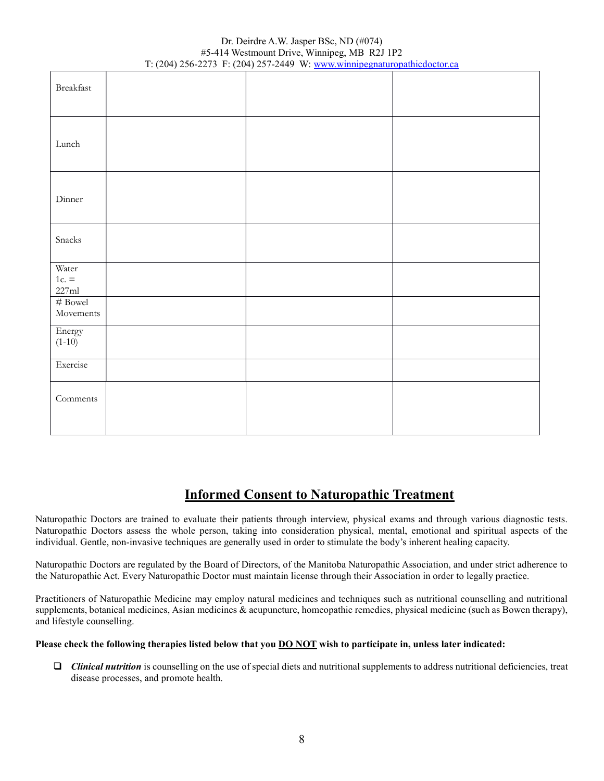| $\operatorname{Breakfast}$ |  |  |
|----------------------------|--|--|
| Lunch                      |  |  |
| Dinner                     |  |  |
| Snacks                     |  |  |
| Water<br>$1c. =$<br>227ml  |  |  |
| $\#$ Bowel<br>Movements    |  |  |
| Energy $(1-10)$            |  |  |
| Exercise                   |  |  |
| Comments                   |  |  |

## Informed Consent to Naturopathic Treatment

Naturopathic Doctors are trained to evaluate their patients through interview, physical exams and through various diagnostic tests. Naturopathic Doctors assess the whole person, taking into consideration physical, mental, emotional and spiritual aspects of the individual. Gentle, non-invasive techniques are generally used in order to stimulate the body's inherent healing capacity.

Naturopathic Doctors are regulated by the Board of Directors, of the Manitoba Naturopathic Association, and under strict adherence to the Naturopathic Act. Every Naturopathic Doctor must maintain license through their Association in order to legally practice.

Practitioners of Naturopathic Medicine may employ natural medicines and techniques such as nutritional counselling and nutritional supplements, botanical medicines, Asian medicines & acupuncture, homeopathic remedies, physical medicine (such as Bowen therapy), and lifestyle counselling.

#### Please check the following therapies listed below that you **DO NOT** wish to participate in, unless later indicated:

 $\Box$  Clinical nutrition is counselling on the use of special diets and nutritional supplements to address nutritional deficiencies, treat disease processes, and promote health.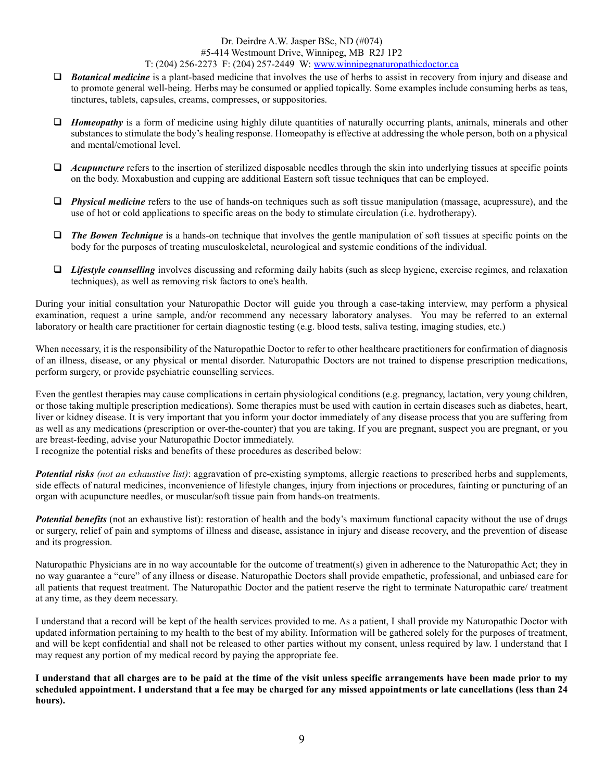- $\Box$  **Botanical medicine** is a plant-based medicine that involves the use of herbs to assist in recovery from injury and disease and to promote general well-being. Herbs may be consumed or applied topically. Some examples include consuming herbs as teas, tinctures, tablets, capsules, creams, compresses, or suppositories.
- $\Box$  **Homeopathy** is a form of medicine using highly dilute quantities of naturally occurring plants, animals, minerals and other substances to stimulate the body's healing response. Homeopathy is effective at addressing the whole person, both on a physical and mental/emotional level.
- $\Box$  *Acupuncture* refers to the insertion of sterilized disposable needles through the skin into underlying tissues at specific points on the body. Moxabustion and cupping are additional Eastern soft tissue techniques that can be employed.
- **Physical medicine** refers to the use of hands-on techniques such as soft tissue manipulation (massage, acupressure), and the use of hot or cold applications to specific areas on the body to stimulate circulation (i.e. hydrotherapy).
- $\Box$  The Bowen Technique is a hands-on technique that involves the gentle manipulation of soft tissues at specific points on the body for the purposes of treating musculoskeletal, neurological and systemic conditions of the individual.
- $\Box$  Lifestyle counselling involves discussing and reforming daily habits (such as sleep hygiene, exercise regimes, and relaxation techniques), as well as removing risk factors to one's health.

During your initial consultation your Naturopathic Doctor will guide you through a case-taking interview, may perform a physical examination, request a urine sample, and/or recommend any necessary laboratory analyses. You may be referred to an external laboratory or health care practitioner for certain diagnostic testing (e.g. blood tests, saliva testing, imaging studies, etc.)

When necessary, it is the responsibility of the Naturopathic Doctor to refer to other healthcare practitioners for confirmation of diagnosis of an illness, disease, or any physical or mental disorder. Naturopathic Doctors are not trained to dispense prescription medications, perform surgery, or provide psychiatric counselling services.

Even the gentlest therapies may cause complications in certain physiological conditions (e.g. pregnancy, lactation, very young children, or those taking multiple prescription medications). Some therapies must be used with caution in certain diseases such as diabetes, heart, liver or kidney disease. It is very important that you inform your doctor immediately of any disease process that you are suffering from as well as any medications (prescription or over-the-counter) that you are taking. If you are pregnant, suspect you are pregnant, or you are breast-feeding, advise your Naturopathic Doctor immediately.

I recognize the potential risks and benefits of these procedures as described below:

**Potential risks** (not an exhaustive list): aggravation of pre-existing symptoms, allergic reactions to prescribed herbs and supplements, side effects of natural medicines, inconvenience of lifestyle changes, injury from injections or procedures, fainting or puncturing of an organ with acupuncture needles, or muscular/soft tissue pain from hands-on treatments.

**Potential benefits** (not an exhaustive list): restoration of health and the body's maximum functional capacity without the use of drugs or surgery, relief of pain and symptoms of illness and disease, assistance in injury and disease recovery, and the prevention of disease and its progression.

Naturopathic Physicians are in no way accountable for the outcome of treatment(s) given in adherence to the Naturopathic Act; they in no way guarantee a "cure" of any illness or disease. Naturopathic Doctors shall provide empathetic, professional, and unbiased care for all patients that request treatment. The Naturopathic Doctor and the patient reserve the right to terminate Naturopathic care/ treatment at any time, as they deem necessary.

I understand that a record will be kept of the health services provided to me. As a patient, I shall provide my Naturopathic Doctor with updated information pertaining to my health to the best of my ability. Information will be gathered solely for the purposes of treatment, and will be kept confidential and shall not be released to other parties without my consent, unless required by law. I understand that I may request any portion of my medical record by paying the appropriate fee.

I understand that all charges are to be paid at the time of the visit unless specific arrangements have been made prior to my scheduled appointment. I understand that a fee may be charged for any missed appointments or late cancellations (less than 24 hours).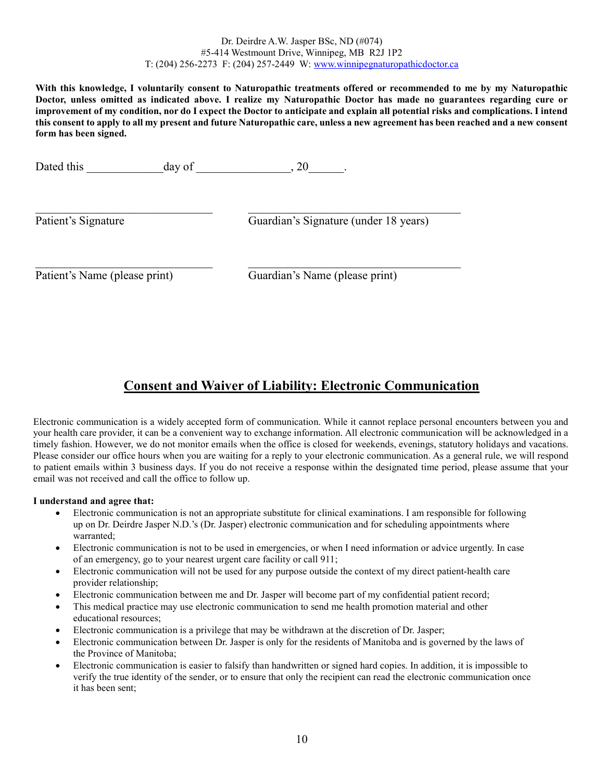With this knowledge, I voluntarily consent to Naturopathic treatments offered or recommended to me by my Naturopathic Doctor, unless omitted as indicated above. I realize my Naturopathic Doctor has made no guarantees regarding cure or improvement of my condition, nor do I expect the Doctor to anticipate and explain all potential risks and complications. I intend this consent to apply to all my present and future Naturopathic care, unless a new agreement has been reached and a new consent form has been signed.

Dated this day of the case of  $\frac{1}{2}$ .

Patient's Signature Guardian's Signature (under 18 years)

Patient's Name (please print) Guardian's Name (please print)

## Consent and Waiver of Liability: Electronic Communication

Electronic communication is a widely accepted form of communication. While it cannot replace personal encounters between you and your health care provider, it can be a convenient way to exchange information. All electronic communication will be acknowledged in a timely fashion. However, we do not monitor emails when the office is closed for weekends, evenings, statutory holidays and vacations. Please consider our office hours when you are waiting for a reply to your electronic communication. As a general rule, we will respond to patient emails within 3 business days. If you do not receive a response within the designated time period, please assume that your email was not received and call the office to follow up.

#### I understand and agree that:

- Electronic communication is not an appropriate substitute for clinical examinations. I am responsible for following up on Dr. Deirdre Jasper N.D.'s (Dr. Jasper) electronic communication and for scheduling appointments where warranted;
- Electronic communication is not to be used in emergencies, or when I need information or advice urgently. In case of an emergency, go to your nearest urgent care facility or call 911;
- Electronic communication will not be used for any purpose outside the context of my direct patient-health care provider relationship;
- Electronic communication between me and Dr. Jasper will become part of my confidential patient record;
- This medical practice may use electronic communication to send me health promotion material and other educational resources;
- Electronic communication is a privilege that may be withdrawn at the discretion of Dr. Jasper;
- Electronic communication between Dr. Jasper is only for the residents of Manitoba and is governed by the laws of the Province of Manitoba;
- Electronic communication is easier to falsify than handwritten or signed hard copies. In addition, it is impossible to verify the true identity of the sender, or to ensure that only the recipient can read the electronic communication once it has been sent;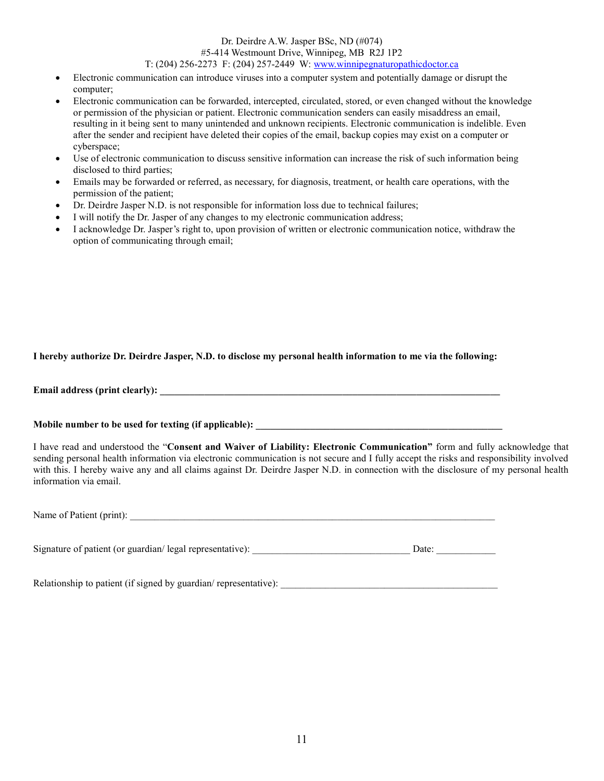- Electronic communication can introduce viruses into a computer system and potentially damage or disrupt the computer;
- Electronic communication can be forwarded, intercepted, circulated, stored, or even changed without the knowledge or permission of the physician or patient. Electronic communication senders can easily misaddress an email, resulting in it being sent to many unintended and unknown recipients. Electronic communication is indelible. Even after the sender and recipient have deleted their copies of the email, backup copies may exist on a computer or cyberspace;
- Use of electronic communication to discuss sensitive information can increase the risk of such information being disclosed to third parties;
- Emails may be forwarded or referred, as necessary, for diagnosis, treatment, or health care operations, with the permission of the patient;
- Dr. Deirdre Jasper N.D. is not responsible for information loss due to technical failures;
- I will notify the Dr. Jasper of any changes to my electronic communication address;
- I acknowledge Dr. Jasper's right to, upon provision of written or electronic communication notice, withdraw the option of communicating through email;

#### I hereby authorize Dr. Deirdre Jasper, N.D. to disclose my personal health information to me via the following:

Email address (print clearly):

Mobile number to be used for texting (if applicable):

I have read and understood the "Consent and Waiver of Liability: Electronic Communication" form and fully acknowledge that sending personal health information via electronic communication is not secure and I fully accept the risks and responsibility involved with this. I hereby waive any and all claims against Dr. Deirdre Jasper N.D. in connection with the disclosure of my personal health information via email.

| Name of Patient (print): |  |
|--------------------------|--|
|                          |  |

| Signature of patient (or guardian/legal representative): |  |
|----------------------------------------------------------|--|
|----------------------------------------------------------|--|

Relationship to patient (if signed by guardian/ representative):